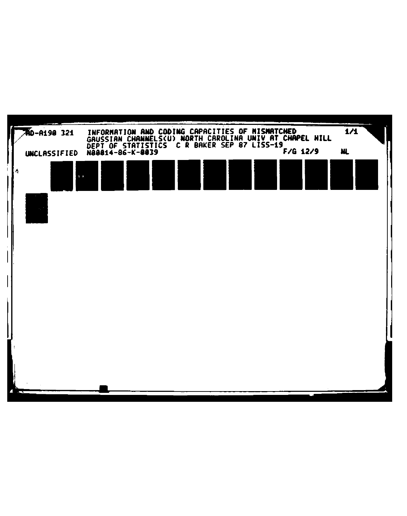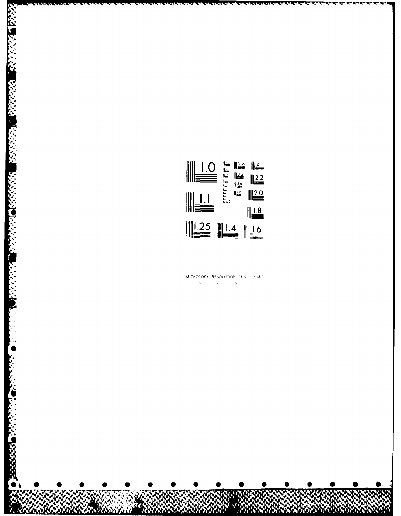

**SECTA** 

ANG PARABAD BAYAN BAYANG MATAT ANG KANANG MANG KANG KANANG KANANG KANANG KA

MICROCOPY RESOLUTION TEST CHART  $\mathcal{A}_1$  and  $\mathcal{A}_2$  is a simple point of the signal of  $\mathcal{A}_2$  . The signal of  $\mathcal{A}_2$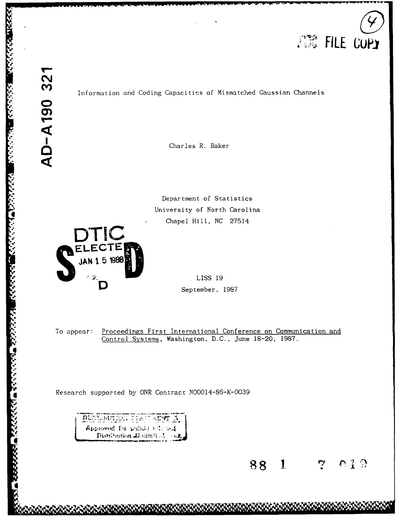# **CN 0) 0)**

**EXAMPLE AND STATE** 

**Didicio** 

න්න සම්පත්වය සම්බන්ධ කර ගැන සම්බන්ධ කර ගැනීම සම්පත් කර ගැනීම සම්පත් කර ගැනීම සම්පත් කර ගැනීම සම්පත් කර ගැනීම සම<br>මෙම සම්පත් කර ගැනීම සම්පත් කර ගැනීම සම්පත් කර ගැනීම සම්පත් කර ගැනීම සම්පත් කර ගැනීම සම්පත් කර ගැනීම සම්පත් කර

### **M** Information and Coding Capacitics of Mismatched Gaussian Channels

Charles R. Baker

Department of Statistics University of North Carolina Chapel Hill, **NC** 27514



**D** LISS **<sup>19</sup>** September, 1987

To appear: Proceedings First International Conference on Communication and Control Systems, Washington, **D.C.,** June **18-20, 1987.**

Research supported **by** ONR Contract N00014-86-K-0039

**.0** *Distribution 1121* APM 3. Distribution Jindirelist (A)

**88 1 7 019**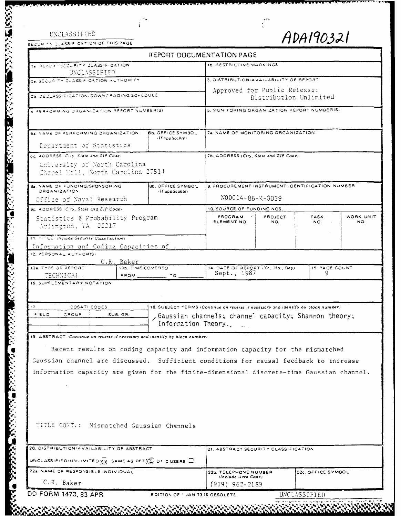UNCLASSIFIED

**TANGO TANG BEAT ANG PANGANAN NANG KABALAN** 

NANA DENGAN SEKARA SEKARA SEKARA DENGAN SEKARA

r

SECURITY CLASSIFICATION OF THIS PAGE

**ARANG ARANG C** 

i.

## ADA190321

**LOCKERYS** 

 $\ddot{\cdot}$ 

| REPORT DOCUMENTATION PAGE |  |
|---------------------------|--|

| 18 REPORT SECURITY CLASSIFICATION<br>UNCLASSIFIED                                                                                               | 16. RESTRICTIVE MARKINGS                               |                                                                                                                                                                    |                |                    |                  |  |
|-------------------------------------------------------------------------------------------------------------------------------------------------|--------------------------------------------------------|--------------------------------------------------------------------------------------------------------------------------------------------------------------------|----------------|--------------------|------------------|--|
| Za. SECURITY CLASSIFICATION AUTHORITY                                                                                                           | 3. DISTRIBUTION/AVAILABILITY OF REPORT                 |                                                                                                                                                                    |                |                    |                  |  |
| Zb. DECLASSIFICATION/DOWNGRADING SCHEDULE                                                                                                       | Approved for Public Release:<br>Distribution Unlimited |                                                                                                                                                                    |                |                    |                  |  |
| A PERFORMING DRGANIZATION REPORT NUMBERISE                                                                                                      | 5. MONITORING ORGANIZATION REPORT NUMBER(S)            |                                                                                                                                                                    |                |                    |                  |  |
| 6a, NAME OF PERFORMING ORGANIZATION<br>Department of Statistics                                                                                 | <b>6b. OFFICE SYMBOL</b><br>$H$ applicable)            | 7a. NAME OF MONITORING ORGANIZATION                                                                                                                                |                |                    |                  |  |
| 6c. ADDRESS (City, State and ZIP Code)<br>University of North Carolina<br>Chapel Hill, North Carolina 27514                                     |                                                        | 7b. ADDRESS (City, State and ZIP Code)                                                                                                                             |                |                    |                  |  |
| <b>Ba. NAME OF FUNDING/SPONSORING</b><br><b>8b. OFFICE SYMBOL</b><br><b>CRGANIZATION</b><br>(If applicable)<br>Office of Naval Research         |                                                        | 9. PROCUREMENT INSTRUMENT IDENTIFICATION NUMBER<br>N00014-86-K-0039                                                                                                |                |                    |                  |  |
| Bc. ADDRESS (City, State and ZIP Code)                                                                                                          |                                                        | 10. SOURCE OF FUNDING NOS.                                                                                                                                         |                |                    |                  |  |
| Statistics & Probability Program<br>Arlington, VA 22217                                                                                         |                                                        | PROGRAM<br>ELEMENT NO.                                                                                                                                             | PROJECT<br>NO. | TASK :<br>NO.      | WORK UNIT<br>NO. |  |
| 11. TITLE include Security Classifications                                                                                                      |                                                        |                                                                                                                                                                    |                |                    |                  |  |
| Information and Coding Capacities of                                                                                                            |                                                        |                                                                                                                                                                    |                |                    |                  |  |
| 12. PERSONAL AUTHORISI                                                                                                                          |                                                        |                                                                                                                                                                    |                |                    |                  |  |
| C.R. Baker<br>13a. TYPE OF REPORT<br>13b. TIME COVERED                                                                                          |                                                        |                                                                                                                                                                    |                | 15. PAGE COUNT     |                  |  |
| TECHNICAL -<br>FROM                                                                                                                             | T 0                                                    | 14. OATE OF REPORT (Yr., Mo., Day)<br>Sept., 1987<br>9                                                                                                             |                |                    |                  |  |
| 16. SUPPLEMENTARY NOTATION                                                                                                                      |                                                        |                                                                                                                                                                    |                |                    |                  |  |
| 17<br>COSATI CODES<br>F(ELD)<br>GROUP<br>SUB. GR.                                                                                               |                                                        | 18. SUBJECT TERMS (Continue on reverse if necessary and identify by block number)<br>, Gaussian channels; channel capacity; Shannon theory;<br>Information Theory. |                |                    |                  |  |
| 19. ABSTRACT (Continue on reverse if necessary and identify by block number)                                                                    |                                                        |                                                                                                                                                                    |                |                    |                  |  |
| Recent results on coding capacity and information capacity for the mismatched                                                                   |                                                        |                                                                                                                                                                    |                |                    |                  |  |
| Gaussian channel are discussed. Sufficient conditions for causal feedback to increase                                                           |                                                        |                                                                                                                                                                    |                |                    |                  |  |
| information capacity are given for the finite-dimensional discrete-time Gaussian channel.                                                       |                                                        |                                                                                                                                                                    |                |                    |                  |  |
|                                                                                                                                                 |                                                        |                                                                                                                                                                    |                |                    |                  |  |
| TITLE CONT.: Mismatched Gaussian Channels                                                                                                       |                                                        |                                                                                                                                                                    |                |                    |                  |  |
| 20. DISTRIBUTION/AVAILABILITY OF ABSTRACT                                                                                                       |                                                        | 21. ABSTRACT SECURITY CLASSIFICATION                                                                                                                               |                |                    |                  |  |
| UNCLASSIFIED/UNLIMITED $\overline{\mathbf{X}}\overline{\mathbf{X}}$ SAME AS RPT. $\overline{\mathbf{X}}\overline{\mathbf{X}}$ DTIC USERS $\Box$ |                                                        |                                                                                                                                                                    |                |                    |                  |  |
| 22a. NAME OF RESPONSIBLE INDIVIDUAL                                                                                                             |                                                        | 22b. TELEPHONE NUMBER<br>(Include Area Code)                                                                                                                       |                | 22c. OFFICE SYMBOL |                  |  |
| C.R. Baker                                                                                                                                      |                                                        | $(919)$ 962-2189                                                                                                                                                   |                |                    |                  |  |
| DD FORM 1473, 83 APR                                                                                                                            | EDITION OF 1 JAN 73 IS OBSOLETE.                       |                                                                                                                                                                    |                | UNCLASSIFIED       |                  |  |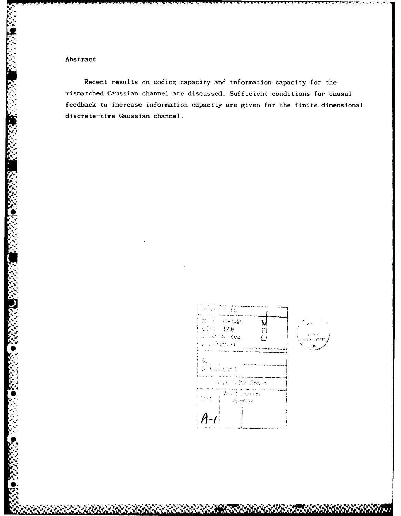#### Abstract

Recent results on coding capacity and information capacity for the mismatched Gaussian channel are discussed. Sufficient conditions for causal feedback to increase information capacity are given for the finite-dimensional discrete-time Gaussian channel.

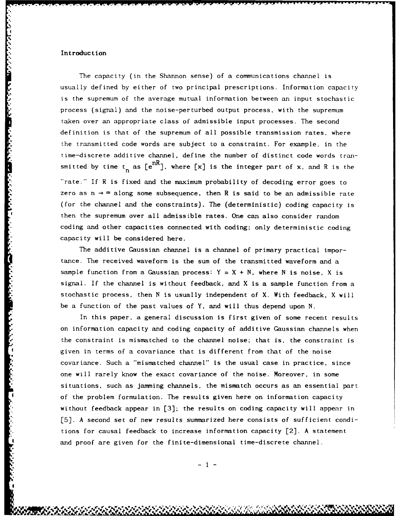#### **Introduction**

The capacity (in the Shannon sense) of a communications channel is usually defined by either of two principal prescriptions. Information capacity is the supremum of the average mutual information between an input stochastic process (signal) and the noise-perturbed output process, with the supremum taken over an appropriate class of admissible input processes. The second definition is that of the supremum of all possible transmission rates, where the transmitted code words are subject to a constraint. For example, in the time-discrete additive channel, define the number of distinct code words transmitted by time  $t_n$  as  $[e^{nR}]$ , where  $[x]$  is the integer part of x, and R is the "rate." If R is fixed and the maximum probability of decoding error goes to zero as  $n \to \infty$  along some subsequence, then R is said to be an admissible rate (for the channel and the constraints). The (deterministic) coding capacity is then the supremum over all admissible rates. One can also consider random coding and other capacities connected with coding; only deterministic coding capacity will be considered here.

The additive Gaussian channel is a channel of primary practical importance. The received waveform is the sum of the transmitted waveform and a sample function from a Gaussian process:  $Y = X + N$ , where N is noise, X is signal. If the channel is without feedback, and X is a sample function from a stochastic process, then N is usually independent of X. With feedback, X will be a function of the past values of Y, and will thus depend upon N.

In this paper, a general discussion is first given of some recent results on information capacity and coding capacity of additive Gaussian channels when the constraint is mismatched to the channel noise; that is, the constraint is given in terms of a covariance that is different from that of the noise covariance. Such a "mismatched channel" is the usual case in practice, since one will rarely know the exact covariance of the noise. Moreover, in some situations, such as jamming channels, the mismatch occurs as an essential part of the problem formulation. The results given here on information capacity without feedback appear in [3]; the results on coding capacity will appear in • [5]. A second set of new results summarized here consists of sufficient conditions for causal feedback to increase information capacity [2]. A statement and proof are given for the finite-dimensional time-discrete channel.

 $-1 -$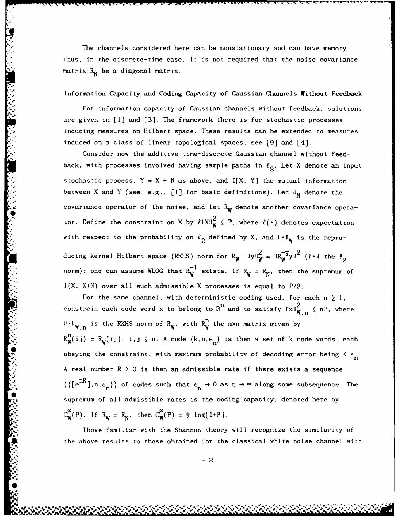The channels considered here can be nonstationary and can have memory. Thus, in the discrete-time case, it is not required that the noise covariance matrix  $R_N$  be a diagonal matrix.

#### Information Capacity and Coding Capacity of Gaussian Channels Without Feedback

For information capacity of Gaussian channels without feedback, solutions are given in  $\lceil 1 \rceil$  and  $\lceil 3 \rceil$ . The framework there is for stochastic processes inducing measures on Hilbert space. These results can be extended to measures induced on a class of linear topological spaces; see **[9]** and [4].

Consider now the additive time-discrete Gaussian channel without feedback, with processes involved having sample paths in  $\ell_2$ . Let X denote an input stochastic process,  $Y = X + N$  as above, and  $I[X, Y]$  the mutual information between X and Y (see, e.g., [1] for basic definitions). Let R<sub>N</sub> denote the covariance operator of the noise, and let  $R_W$  denote another covariance operator. Define the constraint on X by  $\delta$ IIXII $_{w}^{2}$   $\leq$  P, where  $\delta(\cdot)$  denotes expectation with respect to the probability on  $\ell_0$  defined by X, and  $\|\cdot\|_w$  is the reproducing kernel Hilbert space (RKHS) norm for  $R_w$ :  $\|y\|_w^2 = \|R_w^{-\frac{1}{2}}y\|^2$  ( $\|\cdot\|$  the  $\ell_0$ norm); one can assume WLOG that  $R_W^{-1}$  exists. If  $R_W = R_N$ , then the supremum of I(X. X+N) over all such admissible X processes is equal to P/2.

For the same channel, with deterministic coding used, for each  $n \geq 1$ . constrain each code word **x** to belong to  $\mathbb{R}^{\text{n}}$  and to satisfy  $\left\| \mathbf{x} \right\|_{\mathbf{W},\ \text{n}}^{2} \leq \mathbf{n}$ P. where  $|| \cdot ||_{W,n}$  is the RKHS norm of R<sub>W</sub>, with R<sub>W</sub> the nxn matrix given by  $R_w^n(ij) = R_w(ij)$ ,  $i, j \le n$ . A code  $\{k, n, \epsilon_n\}$  is then a set of k code words, each obeying the constraint, with maximum probability of decoding error being  $\leq \epsilon_n$ . A real number  $R \ge 0$  is then an admissible rate if there exists a sequence  $(\{[e^{nR}], n, \epsilon_n\})$  of codes such that  $\epsilon_n \to 0$  as  $n \to \infty$  along some subsequence. The supremum of all admissible rates is the coding capacity, denoted here by  $C_w^{\infty}(P)$ . If  $R_w = R_N$ , then  $C_w^{\infty}(P) = \frac{1}{2} \log[1+P]$ .

Those familiar with the Shannon theory will recognize the similarity of the above results to those obtained for the classical white noise channel with

**-2-**

**-I, - ,,A**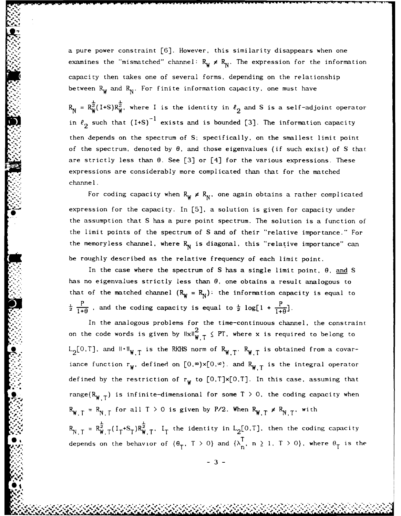a pure power constraint [6]. However, this similarity disappears when one examines the "mismatched" channel:  $R_w \neq R_N$ . The expression for the information capacity then takes one of several forms, depending on the relationship between  $R_w$  and  $R_N$ . For finite information capacity, one must have

 $R_N = R_W^{\frac{1}{2}}(1+S)R_W^{\frac{1}{2}}$ , where I is the identity in  $\ell_2$  and S is a self-adjoint operator in  $\ell_2$  such that (I+S)<sup>-1</sup> exists and is bounded [3]. The information capacity then depends on the spectrum of **S;** specifically, on the smallest limit point of the spectrum, denoted by **0,** and those eigenvalues (if such exist) of S that are strictly less than **0.** See **[3]** or [4] for the various expressions. These expressions are considerably more complicated than that for the matched channel.

For coding capacity when  $R_W \neq R_N$ , one again obtains a rather complicated expression for the capacity. In [5]. a solution is given for capacity under the assumption that S has a pure point spectrum. The solution is a function of the limit points of the spectrum of S and of their "relative importance." For the memoryless channel, where  $R_N$  is diagonal, this "relative importance" can be roughly described as the relative frequency of each limit point.

In the case where the spectrum of S has a single limit point, **0,** and S has no eigenvalues strictly less than **0,** one obtains a result analogous to that of the matched channel  $(R_W = R_N)$ : the information capacity is equal to **±P P**  $\frac{1}{1+\theta}$  . and the coding capacity is equal to  $\frac{1}{2}$  log[1 +  $\frac{1}{1+\theta}$ ]

In the analogous problems for the time-continuous channel, the constraint on the code words is given by  $\|x\|_{W,\,\mathsf{T}}^2 \leq \mathsf{PT}.$  where x is required to belong to  $L_2[0,T]$ , and  $11 \cdot 11_{W,T}$  is the RKHS norm of  $R_{W,T}$ .  $R_{W,T}$  is obtained from a covariance function  $r_w$ , defined on  $[0, \infty) \times [0, \infty)$ . and  $R_{wT}$  is the integral operator defined by the restriction of  $r_w$  to  $[0,T] \times [0,T]$ . In this case, assuming that range(R<sub>W T</sub>) is infinite-dimensional for some  $T > 0$ , the coding capacity when  $R_{W,T} = R_{N,T}$  for all T > 0 is given by P/2. When  $R_{W,T} \neq R_{N,T}$ , with  $R_{N,T} = R_W^{\frac{1}{2}} T (I_T + S_T) R_W^{\frac{1}{2}} T$ . I<sub>T</sub> the identity in L<sub>2</sub> [O.T], then the coding capacity depends on the behavior of **(0T** T > **0)** and **(N** n **> 1,** T **> 0),** where **0T** is the  $_{\rm T}$ , T  $>$  O} and { $\lambda_{\rm n}^{\rm r}$ , n  $\geq$  1, T  $>$  O}, where  $\theta_{\rm T}^{\rm r}$ 

**-3-**

-- ' ~~~~~~~~~ **-"** . **, % . , % "p . . . . . .% . . .** . **, ,, -- . ".% "•- " .%** " **.-. .-**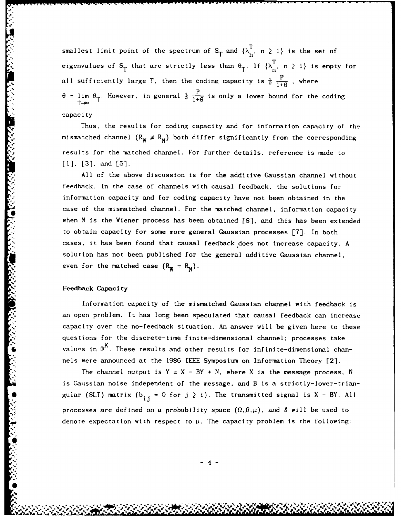smallest limit point of the spectrum of  $S_T$  and  $\{X_n^T, n \geq 1\}$  is the set of eigenvalues . of **S** that are strictly less than **0 if (XT** n **> 1) is** empty for genvalues of  $\sigma_T$  that are strictly ress than  $\sigma_T$ . If  $\{\Lambda_n, n \geq 1\}$ all sufficiently large T, then the coding capacity is  $\frac{1}{2} \frac{P}{1+\theta}$ , where  $\theta = \lim_{n \to \infty} \theta_n$ . However, in general  $\frac{1}{2} \frac{P}{1+\theta}$  is only a lower bound for the coding capacity

Thus, the results for coding capacity and for information capacity of the mismatched channel  $(R_W \neq R_N)$  both differ significantly from the corresponding results for the matched channel. For further details, reference is made to **[1],** [3]. and [5].

All of the above discussion is for the additive Gaussian channel without feedback. In the case of channels with causal feedback, the solutions for information capacity and for coding capacity have not been obtained in the case of the mismatched channel. For the matched channel, information capacity when N is the Wiener process has been obtained  $[8]$ , and this has been extended to obtain capacity for some more general Gaussian processes [7]. In both cases, it has been found that causal feedback does not increase capacity. A solution has not been published for the general additive Gaussian channel, even for the matched case  $(R_w = R_N)$ .

#### Feedback Capacity

**'p."**

**\*h.**

Information capacity of the mismatched Gaussian channel with feedback is an open problem. It has long been speculated that causal feedback can increase capacity over the no-feedback situation. An answer will be given here to these questions for the discrete-time finite-dimensional channel: processes take Example 1997<br>
Feedback Capacity<br>
Feedback Capacity<br>
Information capacity of the mismatched Gaussian channel with feedback<br>
2011<br>
an open problem. It has long been speculated that causal feedback can increa<br>
capacity over nels were announced at the 1986 IEEE Symposium on Information Theory [2].

The channel output is  $Y = X - BY + N$ , where X is the message process, N is Gaussian noise independent of the message, and B is a strictly-lower-trian gular (SLT) matrix  $(b_{i,j} = 0 \text{ for } j \geq i)$ . The transmitted signal is X - BY. All processes are defined on a probability space  $(\Omega, \beta, \mu)$ , and  $\ell$  will be used to denote expectation with respect to  $\mu$ . The capacity problem is the following:

 $-4$ 

*" . ... . .. ..-* **-** N **N %, % %** *%* **~N <sup>i</sup>**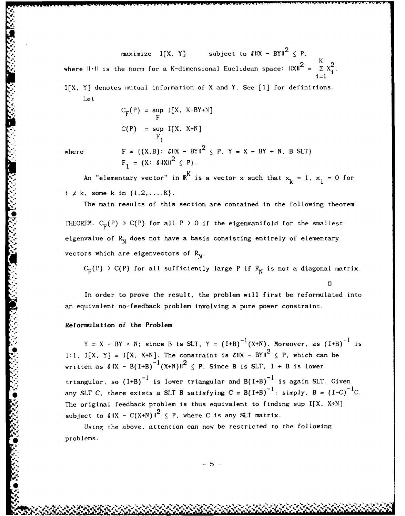maximize I[X, Y] subject to  $\delta$ llX - BYII<sup>2</sup>  $\leq$  P. where  $\|\cdot\|$  is the norm for a K-dimensional Euclidean space:  $\|X\|^2 = \sum_{i=1}^{N} X_i^2$ i=l

I[X. Y] denotes mutual information of X and Y. See **[1]** for definitions. Let

$$
C_{F}(P) = \sup_{F} I[X, X-BY+N]
$$
  
C(P) = sup I[X, X+N]  
F<sub>1</sub>

where 
$$
F = \{(X, B): \&\|X - BY\|^2 \le P, Y = X - BY + N, B SLT\}
$$
  
 $F_1 = \{X: \&\|X\|^2 \le P\}.$ 

An "elementary vector" in  $\mathbb{R}^K$  is a vector x such that  $x_k = 1$ ,  $x_i = 0$  for  $i \neq k$ . some k in  $\{1, 2, ..., K\}$ .

The main results of this section are contained in the following theorem.

THEOREM.  $C_F(P) > C(P)$  for all P > 0 if the eigenmanifold for the smallest eigenvalue of  $R_N$  does not have a basis consisting entirely of elementary vectors which are eigenvectors of  $R_N$ .

 $C_F(P)$  > C(P) for all sufficiently large P if R<sub>N</sub> is not a diagonal matrix.

**0**

In order to prove the result, the problem will first be reformulated into an equivalent no-feedback problem involving a pure power constraint.

#### Reformulation of the Problem

 $Y = X - BY + N$ ; since B is SLT,  $Y = (I+B)^{-1}(X+N)$ . Moreover, as  $(I+B)^{-1}$  is 1:1, I[X, Y] = I[X, X+N]. The constraint is  $\left| \boldsymbol{\xi} \right| \left| \boldsymbol{X} \right| < P$ , which can be written as  $\delta$ HX - B(I+B) $^{-1}$ (X+N)H $^2$   $\leq$  P. Since B is SLT, I + B is lower triangular, so (I+B)<sup>-1</sup> is lower triangular and B(I+B)<sup>-1</sup> is again SLT. Given any SLT C, there exists a SLT B satisfying  $C = B(I+B)^{-1}$ ; simply,  $B = (I-C)^{-1}C$ . The original feedback problem is thus equivalent to finding sup I[X, X+N] subject to  $\|X - C(X+N)\|^2 \leq P$ , where C is any SLT matrix.

Using the above, attention can now be restricted to the following • problems.

**<sup>S</sup>**.. **%** % . . - . ", % % " , - . % " 3 , . " # , , " , ' # w " m ' m '" **"** , , , *"P 4*

**-5-**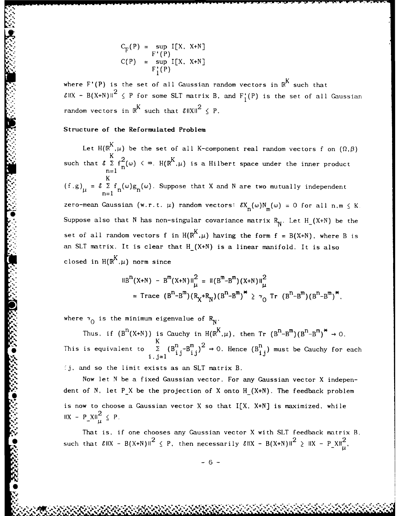$$
C_{F}(P) = \sup_{F'(P)} I[X, X+N]
$$
  
C(P) =  $\sup_{F'_{1}(P)} I[X, X+N]$ 

where  $F'(P)$  is the set of all Gaussian random vectors in  $\mathbb{R}^K$  such that  $8$ HX - B(X+N)H<sup>2</sup>  $\leq$  P for some SLT matrix B, and F<sub>1</sub>(P) is the set of all Gaussian random vectors in  $\mathbb{R}^K$  such that  $\|K\|^2 \leq P$ .

#### Structure of the Reformulated Problem

Let  $H(\mathbb{R}^{K}, \mu)$  be the set of all K-component real random vectors f on  $(\Omega, \beta)$ such that  $\delta \geq f^2(\omega) \leq \infty$ .  $H(\mathbb{R}^K, \mu)$  is a Hilbert space under the inner product n=l K  $(f,g)$ <sub>1</sub> =  $\delta \sum f_{n}(\omega)g_{n}(\omega)$ . Suppose that X and N are two mutually independent  $n=$ zero-mean Gaussian (w.r.t.  $\mu$ ) random vectors:  $\delta X_n(\omega)N_m(\omega) = 0$  for all n.m  $\leq K$ Suppose also that N has non-singular covariance matrix  $R_N$ . Let  $H_-(X+N)$  be the set of all random vectors f in  $H(\mathbb{R}^K,\mu)$  having the form  $f = B(X+N)$ , where B is an SLT matrix. It is clear that H (X+N) is a linear manifold. It is also closed in  $H(\mathbb{R}^K,\mu)$  norm since

$$
IIBn(X+N) - Bm(X+N)II\mu2 = II(Bm-Bm)(X+N)II\mu2
$$
  
= Trace  $(Bn-Bm)(RX+RN)(Bn-Bm)* \ge \gamma0$  Tr  $(Bn-Bm)(Bn-Bm)*.$ 

where  $\tau_0$  is the minimum eigenvalue of  $R_N$ .

KARO KANSO NA NA OKARA

Thus, if  $(B^{n}(X+N))$  is Cauchy in  $H(\mathbb{R}^{K},\mu)$ , then  $Tr (B^{n}-B^{m})(B^{n}-B^{m})^* \rightarrow 0$ . This is equivalent to  $\sum_{i,j=1}^{K} (B_{i,j}^n - B_{i,j}^m)^2 \rightarrow 0$ . Hence  $(B_{i,j}^n)$  must be Cauchy for each **,j.** and so the limit exists as an SLT matrix B.

Now let N be a fixed Gaussian vector. For any Gaussian vector X independent of **N,** let P X be the projection of X onto **H\_** (X+N). The feedback problem is now to choose a Gaussian vector X so that I[X, X+N] is maximized, while  $\|X - P_X\|_H^2 \leq P$ .

That is, if one chooses any Gaussian vector X with SLT feedback matrix B, such that  $\| \mathcal{E} \|$ X - B(X+N)II  $^2$   $\leq$  P. then necessarily  $\| \mathcal{E} \|$ X - B(X+N)II  $^2$   $\geq$  IIX - P\_XII  $^2$ 

**-6-**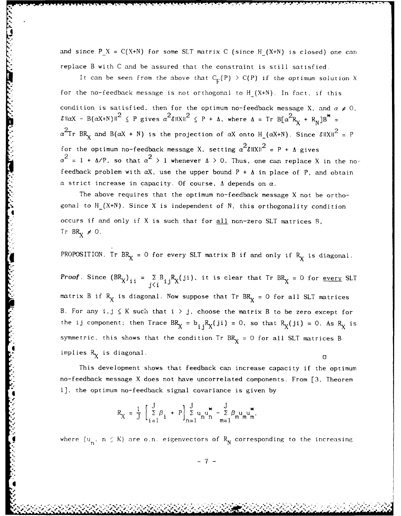and since  $P_X = C(X+N)$  for some SLT matrix C (since  $H_1(X+N)$  is closed) one can replace B with C and be assured that the constraint is still satisfied.

وأوقاه والمرارح

It can be seen from the above that  $C_F(P) > C(P)$  if the optimum solution X for the no-feedback message is not orthogonal to  $H_-(X+N)$ . In fact, if this condition is satisfied, then for the optimum no-feedback message X, and  $\alpha \neq 0$ ,  $8\sqrt{a^2 + B(aX+N)}$  $\sqrt{a^2 + B(aX+N)}$  $\sqrt{a^2 + B(a^2 + B^2)}$   $\leq P + \Delta$ . where  $\Delta = \text{Tr } B[a^2R_X + R_N]B^* =$  $\alpha^2$ Tr BR<sub>x</sub> and B( $\alpha$ X + N) is the projection of  $\alpha$ X onto H<sub>1</sub>( $\alpha$ X+N). Since  $\delta$ IIXII<sup>2</sup> = P for the optimum no-feedback message X. setting  $\alpha^2 \delta \|X\|^2 = P + \Delta$  gives  $\alpha^2 = 1 + \Delta/P$ , so that  $\alpha^2 > 1$  whenever  $\Delta > 0$ . Thus, one can replace X in the nofeedback problem with  $\alpha$ X. use the upper bound  $P + \Delta$  in place of P, and obtain a strict increase in capacity. Of course. **A** depends on a.

The above requires that the optimum no-feedback message X not be orthogonal to H\_(X+N). Since X is independent of N, this orthogonality condition occurs if and only if X is such that for all non-zero SLT matrices B, Tr  $BR_X \neq 0$ .

PROPOSITION. Tr BR<sub>X</sub> = 0 for every SLT matrix B if and only if R<sub>X</sub> is diagonal.

Proof. Since  $(BR_v)_{xx} = \Sigma B_x, R_v(ji)$ , it is clear that Tr BR<sub>x</sub> = 0 for every SLT **j<i** matrix B if R<sub>X</sub> is diagonal. Now suppose that Tr BR<sub>Y</sub> = 0 for all SLT matrices B. For any  $i, j \leq K$  such that  $i \geq j$ , choose the matrix B to be zero except for the ij component; then Trace  $BR_X = b_{ij}R_X(ji) = 0$ , so that  $R_X(ji) = 0$ . As  $R_X$  is symmetric, this shows that the condition  $Tr BR_X = 0$  for all SLT matrices B implies  $R_{\chi}$  is diagonal.  $\Box$ 

This development shows that feedback can increase capacity if the optimum no-feedback message X does not have uncorrelated components. From [3, Theorem **1],** the optimum no-feedback signal covariance is given by

$$
R_{X} = \frac{1}{J} \begin{bmatrix} J \\ \Sigma \beta_{i} + P \end{bmatrix} \begin{matrix} J \\ \Sigma u_{1} u \\ n-1 \end{matrix} - \begin{matrix} J \\ \Sigma \beta_{m} u_{m} u \\ m-1 \end{matrix}.
$$

where  $\{u_n, n \leq K\}$  are o.n. eigenvectors of  $R_N$  corresponding to the increasing

**-7- I°**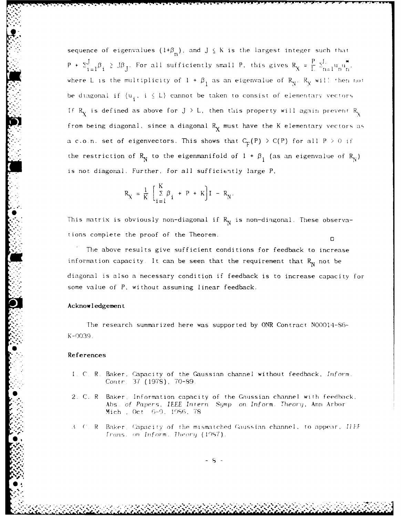sequence of eigenvalues  $(1+\beta_n)$ , and  $J \leq K$  is the largest integer such that  $P + \sum_{i=1}^{J} \beta_i \geq J\beta_j$ . For all sufficiently small P, this gives  $R_X = \frac{P}{L} \sum_{n=1}^{L} u_n$ where L is the multiplicity of  $1 + \beta_1$  as an eigenvalue of  $R_N$ .  $R_N$  will then not be diagonal if  $\{u_i, i \leq L\}$  cannot be taken to consist of elementary vectors If  $R_Y$  is defined as above for  $J \geq L$ , then this property will again prevent  $R_Y$ from being diagonal, since a diagonal R<sub>y</sub> must have the K elementary vectors as a c.o.n. set of eigenvectors. This shows that  $C_F(P) \ge C(P)$  for all  $P \ge 0$  if the restriction of  $R_N$  to the eigenmanifold of  $1 + \beta_1$  (as an eigenvalue of  $R_N$ ) is not diagonal. Further, for all sufficiently large P.

$$
R_X = \frac{1}{K} \left[ \sum_{i=1}^{K} \beta_i + P + K \right] I - R_N.
$$

This matrix is obviously non-diagonal if  $R_N$  is non-diagonal. These observations complete the proof of the Theorem.  $\Box$ 

The above results give sufficient conditions for feedback to increase information capacity. It can be seen that the requirement that  $R_N$  not be diagonal is also a necessary condition if feedback is to increase capacity for some value of P, without assuming linear feedback.

#### Acknowledgement

'The research summarized here was supported by ONR Contract NOOOl-1-S6- K-0039

#### **Re ferences**

- 1. C. R. Baker. Capacity of the Gaussian channel without feedback, *Inform*. Contr. 37 (1978), 70-89.
- 2. C. R. Baker, Information capacity of the Gaussian channel with feedback, Abs of Papers, IEEE *Intern* Stump *on Inform. Theori,* Ann Arbor Mich **,** Oct 6-9, 1 **)8,** *7s*
- *(R Baker. Capacity of the mismatched Gaussian channel, to appear, ILEF*  $I$   *Trans. on Inform. Theory* (1987).

- 8 -

%4, **% . . . . .** *.- ,.* **% , -**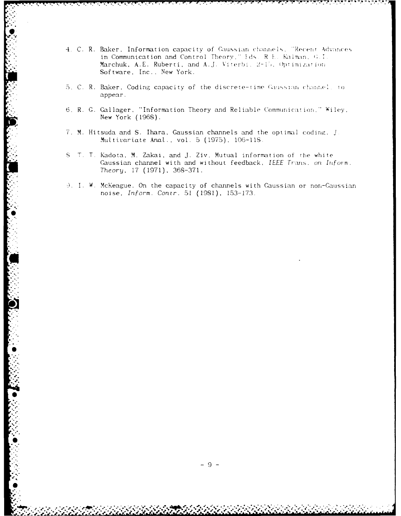- 4. C. R. Baker, Information capacity of Gaussian channels, "Recent Advances in Communication and Control Theory," Eds. R.E. Kalman, G.I. Marchuk, A.E. Ruberti, and A.J. Viterbi, 2-15, Optimization Software, Inc., New York.
- 5. C. R. Baker, Coding capacity of the discrete-time Gaussian channel, to appear.
- 6. R. G. Gallager, "Information Theory and Reliable Communication," Wiley, New York (1968).
- 7. M. Hitsuda and S. Ihara, Gaussian channels and the optimal coding. J. Multivariate Anal., vol. 5 (1975), 106-118.
- S. T. T. Kadota, M. Zakai, and J. Ziv, Mutual information of the white Gaussian channel with and without feedback, IEEE Trans. on Inform. Theory, 17 (1971), 368-371.
- 9. I. W. McKeague, On the capacity of channels with Gaussian or non-Gaussian noise, Inform. Contr. 51 (1981), 153-173.